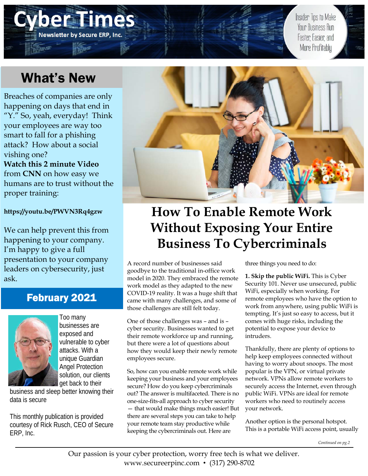# e de la **Newsletter by Secure ERP, Inc.**

Insider Tips to Make Your Business Run Faster Easier and More Profitably

# What's New

Breaches of companies are only happening on days that end in "Y." So, yeah, everyday! Think your employees are way too smart to fall for a phishing attack? How about a social vishing one? **Watch this 2 minute Video**  from **CNN** on how easy we humans are to trust without the proper training:

**https://youtu.be/PWVN3Rq4gzw** 

We can help prevent this from happening to your company. I'm happy to give a full presentation to your company leaders on cybersecurity, just ask.

### February 2021



Too many businesses are exposed and vulnerable to cyber attacks. With a unique Guardian Angel Protection solution, our clients get back to their

business and sleep better knowing their data is secure

This monthly publication is provided courtesy of Rick Rusch, CEO of Secure ERP, Inc.



# **How To Enable Remote Work Without Exposing Your Entire Business To Cybercriminals**

A record number of businesses said goodbye to the traditional in-office work model in 2020. They embraced the remote work model as they adapted to the new COVID-19 reality. It was a huge shift that came with many challenges, and some of those challenges are still felt today.

One of those challenges was – and is – cyber security. Businesses wanted to get their remote workforce up and running, but there were a lot of questions about how they would keep their newly remote employees secure.

So, how can you enable remote work while keeping your business and your employees secure? How do you keep cybercriminals out? The answer is multifaceted. There is no one-size-fits-all approach to cyber security — that would make things much easier! But there are several steps you can take to help your remote team stay productive while keeping the cybercriminals out. Here are

three things you need to do:

**1. Skip the public WiFi.** This is Cyber Security 101. Never use unsecured, public WiFi, especially when working. For remote employees who have the option to work from anywhere, using public WiFi is tempting. It's just so easy to access, but it comes with huge risks, including the potential to expose your device to intruders.

Thankfully, there are plenty of options to help keep employees connected without having to worry about snoops. The most popular is the VPN, or virtual private network. VPNs allow remote workers to securely access the Internet, even through public WiFi. VPNs are ideal for remote workers who need to routinely access your network.

Another option is the personal hotspot. This is a portable WiFi access point, usually

*Continued on pg.2*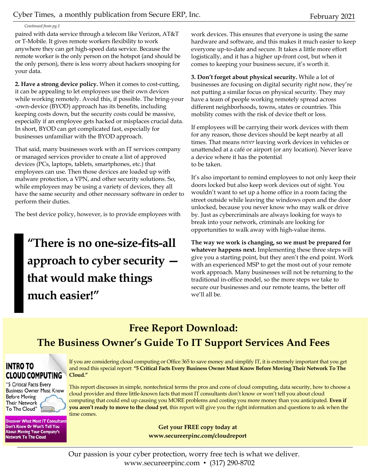#### *Continued from pg.1*

paired with data service through a telecom like Verizon, AT&T or T-Mobile. It gives remote workers flexibility to work anywhere they can get high-speed data service. Because the remote worker is the only person on the hotspot (and should be the only person), there is less worry about hackers snooping for your data.

**2. Have a strong device policy.** When it comes to cost-cutting, it can be appealing to let employees use their own devices while working remotely. Avoid this, if possible. The bring-your -own-device (BYOD) approach has its benefits, including keeping costs down, but the security costs could be massive, especially if an employee gets hacked or misplaces crucial data. In short, BYOD can get complicated fast, especially for businesses unfamiliar with the BYOD approach.

That said, many businesses work with an IT services company or managed services provider to create a list of approved devices (PCs, laptops, tablets, smartphones, etc.) that employees can use. Then those devices are loaded up with malware protection, a VPN, and other security solutions. So, while employees may be using a variety of devices, they all have the same security and other necessary software in order to perform their duties.

The best device policy, however, is to provide employees with

# **"There is no one-size-fits-all approach to cyber security that would make things much easier!"**

work devices. This ensures that everyone is using the same hardware and software, and this makes it much easier to keep everyone up-to-date and secure. It takes a little more effort logistically, and it has a higher up-front cost, but when it comes to keeping your business secure, it's worth it.

**3. Don't forget about physical security.** While a lot of businesses are focusing on digital security right now, they're not putting a similar focus on physical security. They may have a team of people working remotely spread across different neighborhoods, towns, states or countries. This mobility comes with the risk of device theft or loss.

If employees will be carrying their work devices with them for any reason, those devices should be kept nearby at all times. That means *never* leaving work devices in vehicles or unattended at a café or airport (or any location). Never leave a device where it has the potential to be taken.

It's also important to remind employees to not only keep their doors locked but also keep work devices out of sight. You wouldn't want to set up a home office in a room facing the street outside while leaving the windows open and the door unlocked, because you never know who may walk or drive by. Just as cybercriminals are always looking for ways to break into your network, criminals are looking for opportunities to walk away with high-value items.

**The way we work is changing, so we must be prepared for whatever happens next.** Implementing these three steps will give you a starting point, but they aren't the end point. Work with an experienced MSP to get the most out of your remote work approach. Many businesses will not be returning to the traditional in-office model, so the more steps we take to secure our businesses and our remote teams, the better off we'll all be.

### **Free Report Download: The Business Owner's Guide To IT Support Services And Fees**

#### **INTRO TO CLOUD COMPUTING**

"5 Critical Facts Every **Business Owner Must Know Before Moving Their Network** To The Cloud"

**Discover What Most IT Consultant** Don't Know Or Won't Tell You **About Moving Your Company's Network To The Cloud** 

If you are considering cloud computing or Office 365 to save money and simplify IT, it is extremely important that you get and read this special report: **"5 Critical Facts Every Business Owner Must Know Before Moving Their Network To The Cloud."**

This report discusses in simple, nontechnical terms the pros and cons of cloud computing, data security, how to choose a cloud provider and three little-known facts that most IT consultants don't know or won't tell you about cloud computing that could end up causing you MORE problems and costing you more money than you anticipated. **Even if you aren't ready to move to the cloud yet**, this report will give you the right information and questions to ask when the time comes.

> **Get your FREE copy today at www.secureerpinc.com/cloudreport**

Our passion is your cyber protection, worry free tech is what we deliver. www.secureerpinc.com • (317) 290-8702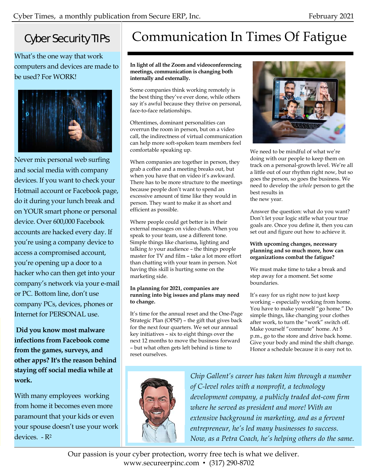### Cyber Security TIPs

What's the one way that work computers and devices are made to be used? For WORK!



Never mix personal web surfing and social media with company devices. If you want to check your Hotmail account or Facebook page, do it during your lunch break and on YOUR smart phone or personal device. Over 600,000 Facebook accounts are hacked every day. If you're using a company device to access a compromised account, you're opening up a door to a hacker who can then get into your company's network via your e-mail or PC. Bottom line, don't use company PCs, devices, phones or Internet for PERSONAL use.

**Did you know most malware infections from Facebook come from the games, surveys, and other apps? It's the reason behind staying off social media while at work.** 

With many employees working from home it becomes even more paramount that your kids or even your spouse doesn't use your work devices. - R2

# Communication In Times Of Fatigue

**In light of all the Zoom and videoconferencing meetings, communication is changing both internally and externally.**

Some companies think working remotely is the best thing they've ever done, while others say it's awful because they thrive on personal, face-to-face relationships.

Oftentimes, dominant personalities can overrun the room in person, but on a video call, the indirectness of virtual communication can help more soft-spoken team members feel comfortable speaking up.

When companies are together in person, they grab a coffee and a meeting breaks out, but when you have that on video it's awkward. There has to be more structure to the meetings because people don't want to spend an excessive amount of time like they would in person. They want to make it as short and efficient as possible.

Where people could get better is in their external messages on video chats. When you speak to your team, use a different tone. Simple things like charisma, lighting and talking *to* your audience – the things people master for TV and film – take a lot more effort than chatting with your team in person. Not having this skill is hurting some on the marketing side.

#### **In planning for 2021, companies are running into big issues and plans may need to change.**

It's time for the annual reset and the One-Page Strategic Plan (OPSP) – the gift that gives back for the next four quarters. We set our annual key initiatives – six to eight things over the next 12 months to move the business forward – but what often gets left behind is time to reset ourselves.



We need to be mindful of what we're doing with our people to keep them on track on a personal-growth level. We're all a little out of our rhythm right now, but so goes the person, so goes the business. We need to develop the *whole* person to get the best results in the new year.

Answer the question: what do you want? Don't let your logic stifle what your true goals are. Once you define it, then you can set out and figure out how to achieve it.

#### **With upcoming changes, necessary planning and so much more, how can organizations combat the fatigue?**

We must make time to take a break and step away for a moment. Set some boundaries.

It's easy for us right now to just keep working – especially working from home. You have to make yourself "go home." Do simple things, like changing your clothes after work, to turn the "work" switch off. Make yourself "commute" home. At 5 p.m., go to the store and drive back home. Give your body and mind the shift change. Honor a schedule because it is easy not to.



*Chip Gallent's career has taken him through a number of C-level roles with a nonprofit, a technology development company, a publicly traded dot-com firm where he served as president and more! With an extensive background in marketing, and as a fervent entrepreneur, he's led many businesses to success. Now, as a Petra Coach, he's helping others do the same.* 

Our passion is your cyber protection, worry free tech is what we deliver. www.secureerpinc.com • (317) 290-8702